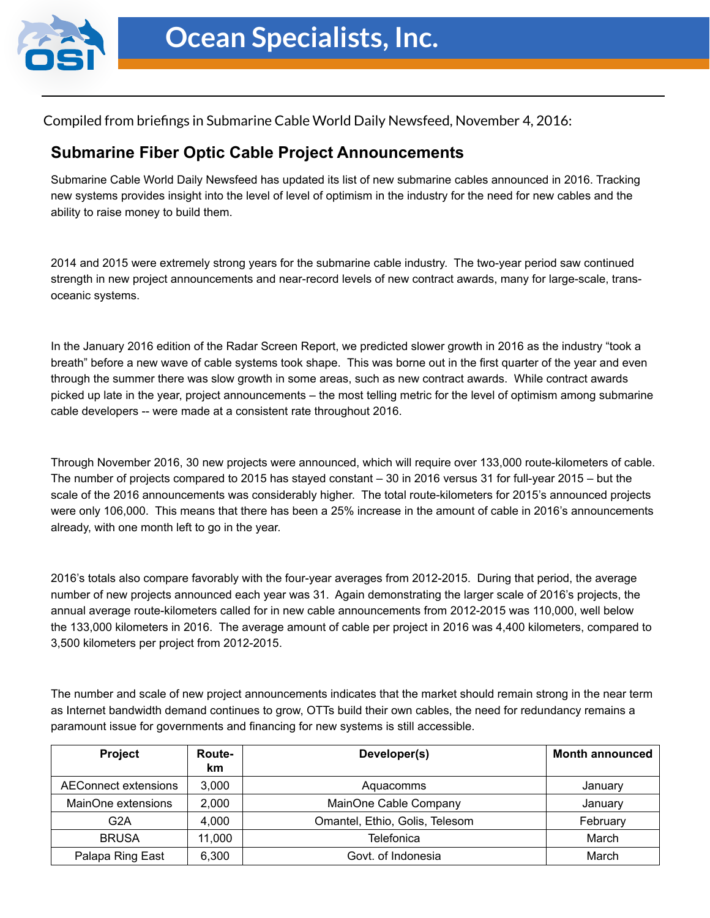

Compiled from briefings in Submarine Cable World Daily Newsfeed, November 4, 2016:

## **Submarine Fiber Optic Cable Project Announcements**

Submarine Cable World Daily Newsfeed has updated its list of new submarine cables announced in 2016. Tracking new systems provides insight into the level of level of optimism in the industry for the need for new cables and the ability to raise money to build them.

2014 and 2015 were extremely strong years for the submarine cable industry. The two-year period saw continued strength in new project announcements and near-record levels of new contract awards, many for large-scale, transoceanic systems.

In the January 2016 edition of the Radar Screen Report, we predicted slower growth in 2016 as the industry "took a breath" before a new wave of cable systems took shape. This was borne out in the first quarter of the year and even through the summer there was slow growth in some areas, such as new contract awards. While contract awards picked up late in the year, project announcements – the most telling metric for the level of optimism among submarine cable developers -- were made at a consistent rate throughout 2016.

Through November 2016, 30 new projects were announced, which will require over 133,000 route-kilometers of cable. The number of projects compared to 2015 has stayed constant – 30 in 2016 versus 31 for full-year 2015 – but the scale of the 2016 announcements was considerably higher. The total route-kilometers for 2015's announced projects were only 106,000. This means that there has been a 25% increase in the amount of cable in 2016's announcements already, with one month left to go in the year.

2016's totals also compare favorably with the four-year averages from 2012-2015. During that period, the average number of new projects announced each year was 31. Again demonstrating the larger scale of 2016's projects, the annual average route-kilometers called for in new cable announcements from 2012-2015 was 110,000, well below the 133,000 kilometers in 2016. The average amount of cable per project in 2016 was 4,400 kilometers, compared to 3,500 kilometers per project from 2012-2015.

The number and scale of new project announcements indicates that the market should remain strong in the near term as Internet bandwidth demand continues to grow, OTTs build their own cables, the need for redundancy remains a paramount issue for governments and financing for new systems is still accessible.

| Project              | Route-<br>km | Developer(s)                   | <b>Month announced</b> |
|----------------------|--------------|--------------------------------|------------------------|
| AEConnect extensions | 3,000        | Aquacomms                      | January                |
| MainOne extensions   | 2,000        | MainOne Cable Company          | January                |
| G <sub>2</sub> A     | 4.000        | Omantel, Ethio, Golis, Telesom | February               |
| <b>BRUSA</b>         | 11.000       | Telefonica                     | March                  |
| Palapa Ring East     | 6,300        | Govt. of Indonesia             | March                  |